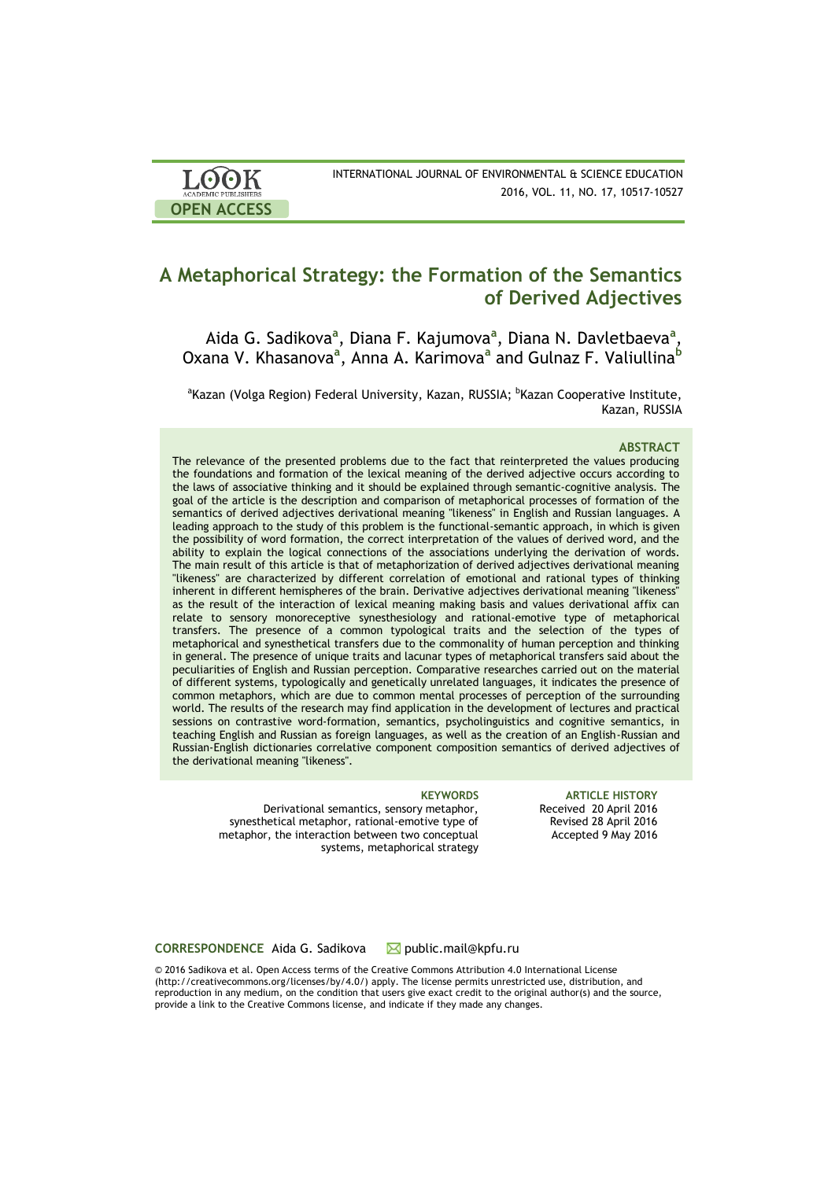| <b>LOOK</b>         | INTERNATIONAL JOURNAL OF ENVIRONMENTAL & SCIENCE EDUCATION |
|---------------------|------------------------------------------------------------|
| ACADEMIC PUBLISHERS | 2016, VOL. 11, NO. 17, 10517-10527                         |
| <b>OPEN ACCESS</b>  |                                                            |

# **A Metaphorical Strategy: the Formation of the Semantics of Derived Adjectives**

Aida G. Sadikova<sup>a</sup>, Diana F. Kajumova<sup>a</sup>, Diana N. Davletbaeva<sup>a</sup>, Oxana V. Khasanova<sup>a</sup>, Anna A. Karimova<sup>a</sup> and Gulnaz F. Valiullina<sup>b</sup>

<sup>a</sup>Kazan (Volga Region) Federal University, Kazan, RUSSIA; <sup>b</sup>Kazan Cooperative Institute, Kazan, RUSSIA

#### **ABSTRACT**

The relevance of the presented problems due to the fact that reinterpreted the values producing the foundations and formation of the lexical meaning of the derived adjective occurs according to the laws of associative thinking and it should be explained through semantic-cognitive analysis. The goal of the article is the description and comparison of metaphorical processes of formation of the semantics of derived adjectives derivational meaning "likeness" in English and Russian languages. A leading approach to the study of this problem is the functional-semantic approach, in which is given the possibility of word formation, the correct interpretation of the values of derived word, and the ability to explain the logical connections of the associations underlying the derivation of words. The main result of this article is that of metaphorization of derived adjectives derivational meaning "likeness" are characterized by different correlation of emotional and rational types of thinking inherent in different hemispheres of the brain. Derivative adjectives derivational meaning "likeness" as the result of the interaction of lexical meaning making basis and values derivational affix can relate to sensory monoreceptive synesthesiology and rational-emotive type of metaphorical transfers. The presence of a common typological traits and the selection of the types of metaphorical and synesthetical transfers due to the commonality of human perception and thinking in general. The presence of unique traits and lacunar types of metaphorical transfers said about the peculiarities of English and Russian perception. Comparative researches carried out on the material of different systems, typologically and genetically unrelated languages, it indicates the presence of common metaphors, which are due to common mental processes of perception of the surrounding world. The results of the research may find application in the development of lectures and practical sessions on contrastive word-formation, semantics, psycholinguistics and cognitive semantics, in teaching English and Russian as foreign languages, as well as the creation of an English-Russian and Russian-English dictionaries correlative component composition semantics of derived adjectives of the derivational meaning "likeness".

Derivational semantics, sensory metaphor, synesthetical metaphor, rational-emotive type of metaphor, the interaction between two conceptual systems, metaphorical strategy

**KEYWORDS ARTICLE HISTORY** Received 20 April 2016 Revised 28 April 2016 Accepted 9 May 2016

### CORRESPONDENCE Aida G. Sadikova **M** public.mail@kpfu.ru

© 2016 Sadikova et al. Open Access terms of the Creative Commons Attribution 4.0 International License (http://creativecommons.org/licenses/by/4.0/) apply. The license permits unrestricted use, distribution, and reproduction in any medium, on the condition that users give exact credit to the original author(s) and the source, provide a link to the Creative Commons license, and indicate if they made any changes.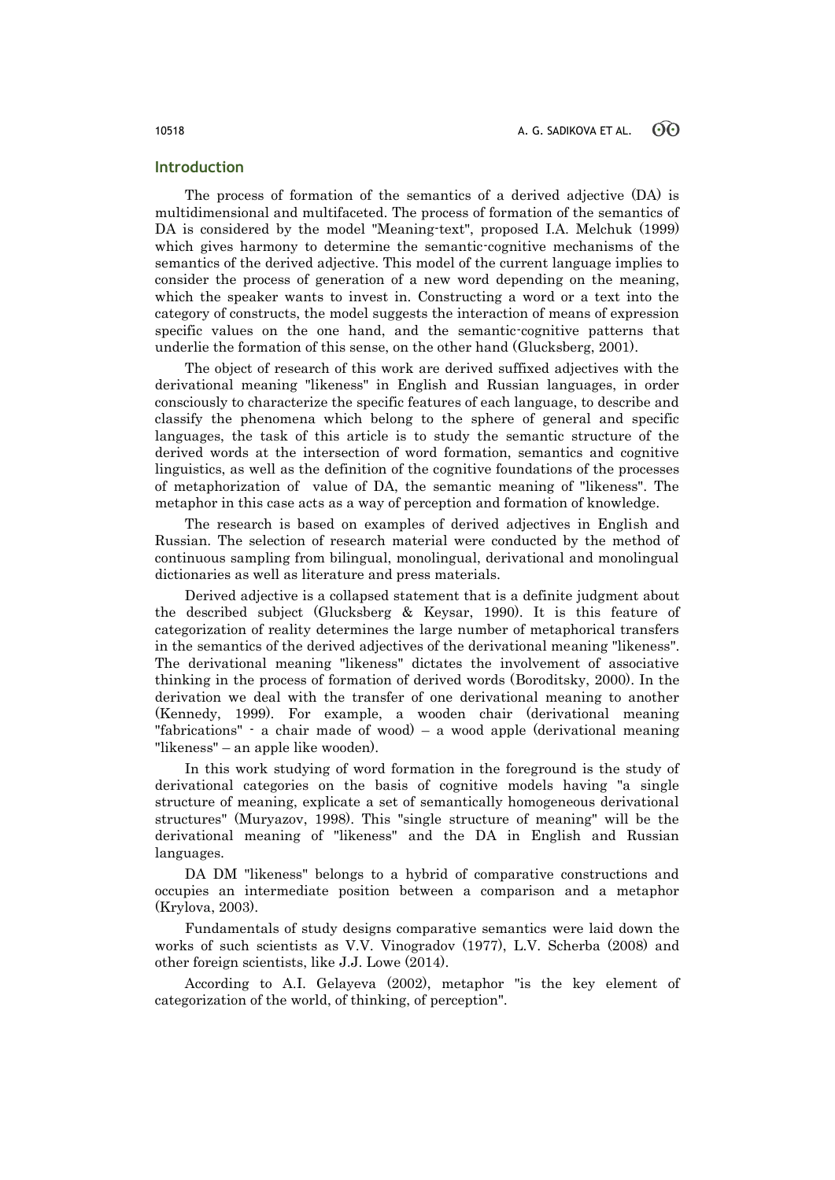### **Introduction**

The process of formation of the semantics of a derived adjective (DA) is multidimensional and multifaceted. The process of formation of the semantics of DA is considered by the model "Meaning-text", proposed I.A. Melchuk (1999) which gives harmony to determine the semantic-cognitive mechanisms of the semantics of the derived adjective. This model of the current language implies to consider the process of generation of a new word depending on the meaning, which the speaker wants to invest in. Constructing a word or a text into the category of constructs, the model suggests the interaction of means of expression specific values on the one hand, and the semantic-cognitive patterns that underlie the formation of this sense, on the other hand (Glucksberg, 2001).

The object of research of this work are derived suffixed adjectives with the derivational meaning "likeness" in English and Russian languages, in order consciously to characterize the specific features of each language, to describe and classify the phenomena which belong to the sphere of general and specific languages, the task of this article is to study the semantic structure of the derived words at the intersection of word formation, semantics and cognitive linguistics, as well as the definition of the cognitive foundations of the processes of metaphorization of value of DA, the semantic meaning of "likeness". The metaphor in this case acts as a way of perception and formation of knowledge.

The research is based on examples of derived adjectives in English and Russian. The selection of research material were conducted by the method of continuous sampling from bilingual, monolingual, derivational and monolingual dictionaries as well as literature and press materials.

Derived adjective is a collapsed statement that is a definite judgment about the described subject (Glucksberg & Keysar, 1990). It is this feature of categorization of reality determines the large number of metaphorical transfers in the semantics of the derived adjectives of the derivational meaning "likeness". The derivational meaning "likeness" dictates the involvement of associative thinking in the process of formation of derived words (Boroditsky, 2000). In the derivation we deal with the transfer of one derivational meaning to another (Kennedy, 1999). For example, a wooden chair (derivational meaning "fabrications" - a chair made of wood) – a wood apple (derivational meaning "likeness" – an apple like wooden).

In this work studying of word formation in the foreground is the study of derivational categories on the basis of cognitive models having "a single structure of meaning, explicate a set of semantically homogeneous derivational structures" (Muryazov, 1998). This "single structure of meaning" will be the derivational meaning of "likeness" and the DA in English and Russian languages.

DA DM "likeness" belongs to a hybrid of comparative constructions and occupies an intermediate position between a comparison and a metaphor (Krylova, 2003).

Fundamentals of study designs comparative semantics were laid down the works of such scientists as V.V. Vinogradov (1977), L.V. Scherba (2008) and other foreign scientists, like J.J. Lowe (2014).

According to A.I. Gelayeva (2002), metaphor "is the key element of categorization of the world, of thinking, of perception".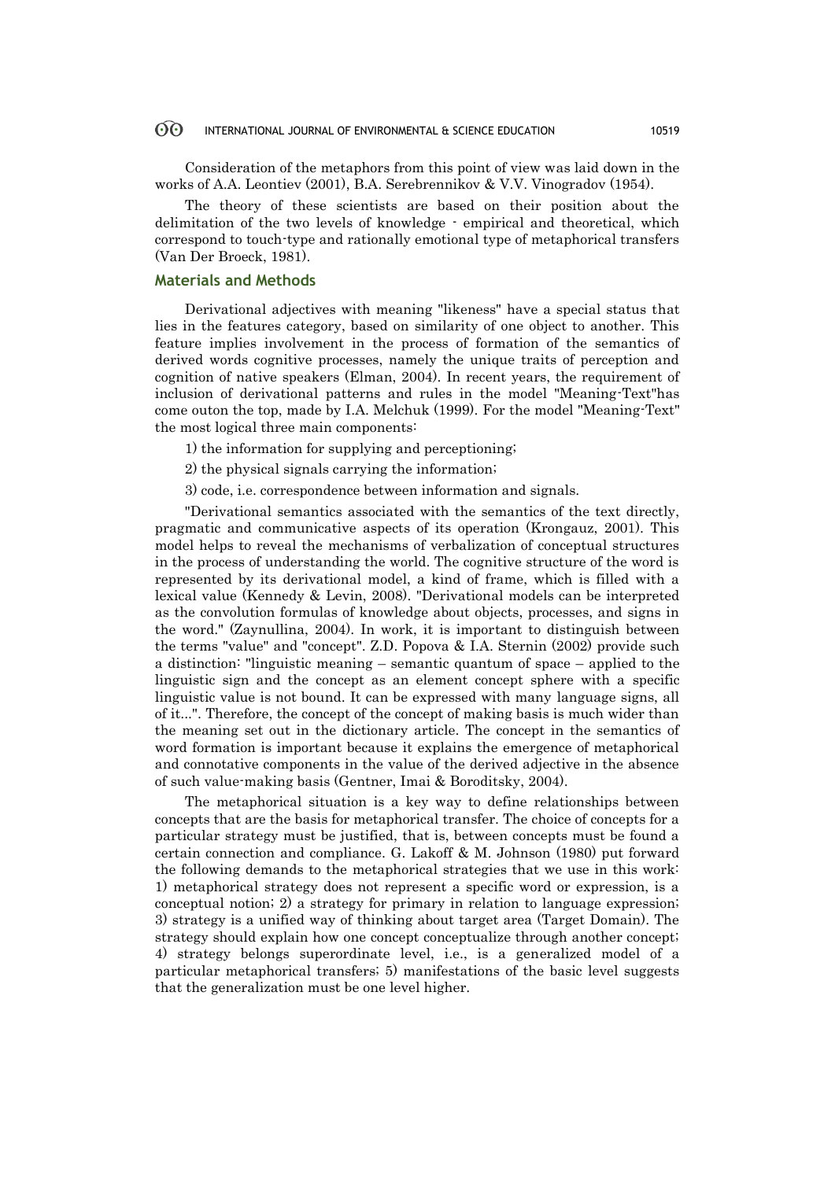#### 60 INTERNATIONAL JOURNAL OF ENVIRONMENTAL & SCIENCE EDUCATION 10519

Consideration of the metaphors from this point of view was laid down in the works of A.A. Leontiev (2001), B.A. Serebrennikov & V.V. Vinogradov (1954).

The theory of these scientists are based on their position about the delimitation of the two levels of knowledge - empirical and theoretical, which correspond to touch-type and rationally emotional type of metaphorical transfers (Van Der Broeck, 1981).

### **Materials and Methods**

Derivational adjectives with meaning "likeness" have a special status that lies in the features category, based on similarity of one object to another. This feature implies involvement in the process of formation of the semantics of derived words cognitive processes, namely the unique traits of perception and cognition of native speakers (Elman, 2004). In recent years, the requirement of inclusion of derivational patterns and rules in the model "Meaning-Text"has come outon the top, made by I.A. Melchuk (1999). For the model "Meaning-Text" the most logical three main components:

- 1) the information for supplying and perceptioning;
- 2) the physical signals carrying the information;
- 3) code, i.e. correspondence between information and signals.

"Derivational semantics associated with the semantics of the text directly, pragmatic and communicative aspects of its operation (Krongauz, 2001). This model helps to reveal the mechanisms of verbalization of conceptual structures in the process of understanding the world. The cognitive structure of the word is represented by its derivational model, a kind of frame, which is filled with a lexical value (Kennedy & Levin, 2008). "Derivational models can be interpreted as the convolution formulas of knowledge about objects, processes, and signs in the word." (Zaynullina, 2004). In work, it is important to distinguish between the terms "value" and "concept". Z.D. Popova & I.A. Sternin (2002) provide such a distinction: "linguistic meaning – semantic quantum of space – applied to the linguistic sign and the concept as an element concept sphere with a specific linguistic value is not bound. It can be expressed with many language signs, all of it...". Therefore, the concept of the concept of making basis is much wider than the meaning set out in the dictionary article. The concept in the semantics of word formation is important because it explains the emergence of metaphorical and connotative components in the value of the derived adjective in the absence of such value-making basis (Gentner, Imai & Boroditsky, 2004).

The metaphorical situation is a key way to define relationships between concepts that are the basis for metaphorical transfer. The choice of concepts for a particular strategy must be justified, that is, between concepts must be found a certain connection and compliance. G. Lakoff & M. Johnson (1980) put forward the following demands to the metaphorical strategies that we use in this work: 1) metaphorical strategy does not represent a specific word or expression, is a conceptual notion; 2) a strategy for primary in relation to language expression; 3) strategy is a unified way of thinking about target area (Target Domain). The strategy should explain how one concept conceptualize through another concept; 4) strategy belongs superordinate level, i.e., is a generalized model of a particular metaphorical transfers; 5) manifestations of the basic level suggests that the generalization must be one level higher.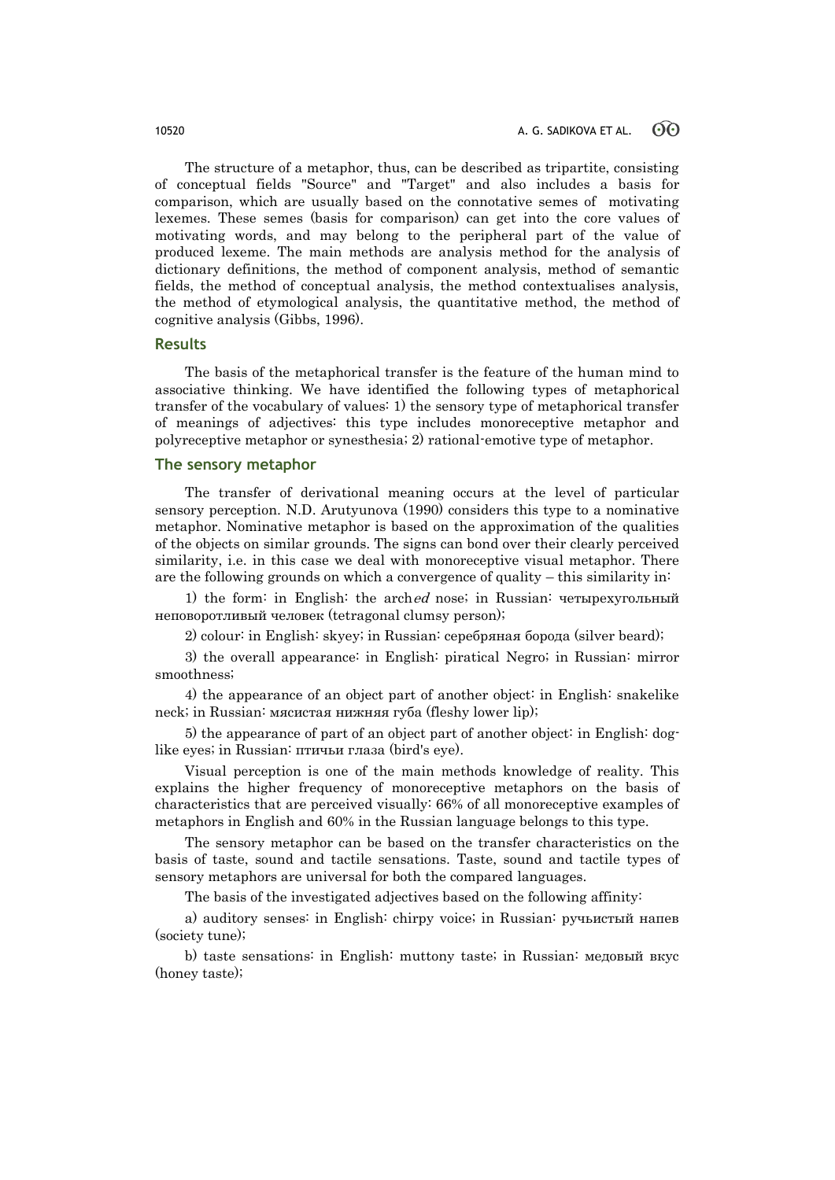The structure of a metaphor, thus, can be described as tripartite, consisting of conceptual fields "Source" and "Target" and also includes a basis for comparison, which are usually based on the connotative semes of motivating lexemes. These semes (basis for comparison) can get into the core values of motivating words, and may belong to the peripheral part of the value of produced lexeme. The main methods are analysis method for the analysis of dictionary definitions, the method of component analysis, method of semantic fields, the method of conceptual analysis, the method contextualises analysis, the method of etymological analysis, the quantitative method, the method of cognitive analysis (Gibbs, 1996).

### **Results**

The basis of the metaphorical transfer is the feature of the human mind to associative thinking. We have identified the following types of metaphorical transfer of the vocabulary of values: 1) the sensory type of metaphorical transfer of meanings of adjectives: this type includes monoreceptive metaphor and polyreceptive metaphor or synesthesia; 2) rational-emotive type of metaphor.

#### **The sensory metaphor**

The transfer of derivational meaning occurs at the level of particular sensory perception. N.D. Arutyunova (1990) considers this type to a nominative metaphor. Nominative metaphor is based on the approximation of the qualities of the objects on similar grounds. The signs can bond over their clearly perceived similarity, i.e. in this case we deal with monoreceptive visual metaphor. There are the following grounds on which a convergence of quality – this similarity in:

1) the form: in English: the arched nose; in Russian: четырехугольный неповоротливый человек (tetragonal clumsy person);

2) colour: in English: skyey; in Russian: серебряная борода (silver beard);

3) the overall appearance: in English: piratical Negro; in Russian: mirror smoothness;

4) the appearance of an object part of another object: in English: snakelike neck; in Russian: мясистая нижняя губа (fleshy lower lip);

5) the appearance of part of an object part of another object: in English: doglike eyes; in Russian: птичьи глаза (bird's eye).

Visual perception is one of the main methods knowledge of reality. This explains the higher frequency of monoreceptive metaphors on the basis of characteristics that are perceived visually: 66% of all monoreceptive examples of metaphors in English and 60% in the Russian language belongs to this type.

The sensory metaphor can be based on the transfer characteristics on the basis of taste, sound and tactile sensations. Taste, sound and tactile types of sensory metaphors are universal for both the compared languages.

The basis of the investigated adjectives based on the following affinity:

a) auditory senses: in English: chirpy voice; in Russian: ручьистый напев (society tune);

b) taste sensations: in English: muttony taste; in Russian: медовый вкус (honey taste);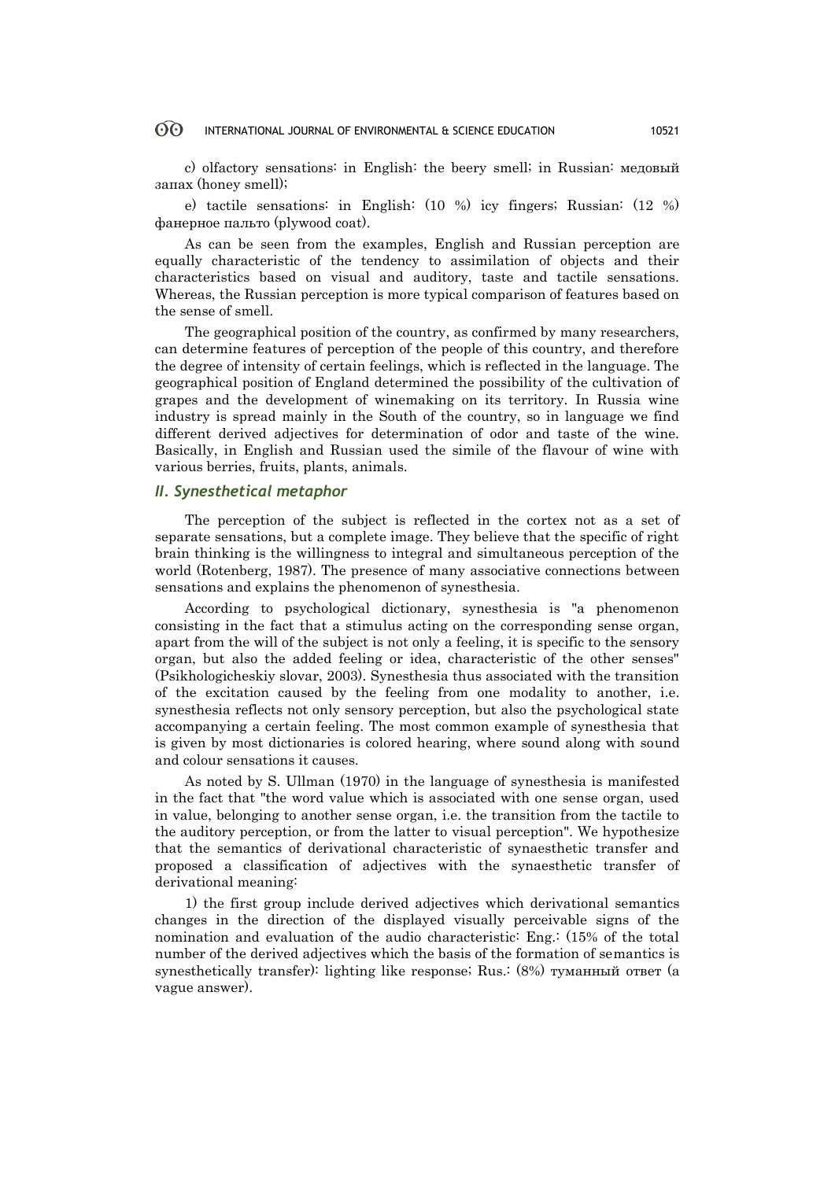#### $\odot$ INTERNATIONAL JOURNAL OF ENVIRONMENTAL & SCIENCE EDUCATION 10521

c) olfactory sensations: in English: the beery smell; in Russian: медовый запах (honey smell);

e) tactile sensations: in English: (10 %) icy fingers; Russian: (12 %) фанерное пальто (plywood coat).

As can be seen from the examples, English and Russian perception are equally characteristic of the tendency to assimilation of objects and their characteristics based on visual and auditory, taste and tactile sensations. Whereas, the Russian perception is more typical comparison of features based on the sense of smell.

The geographical position of the country, as confirmed by many researchers, can determine features of perception of the people of this country, and therefore the degree of intensity of certain feelings, which is reflected in the language. The geographical position of England determined the possibility of the cultivation of grapes and the development of winemaking on its territory. In Russia wine industry is spread mainly in the South of the country, so in language we find different derived adjectives for determination of odor and taste of the wine. Basically, in English and Russian used the simile of the flavour of wine with various berries, fruits, plants, animals.

### *II. Synesthetical metaphor*

The perception of the subject is reflected in the cortex not as a set of separate sensations, but a complete image. They believe that the specific of right brain thinking is the willingness to integral and simultaneous perception of the world (Rotenberg, 1987). The presence of many associative connections between sensations and explains the phenomenon of synesthesia.

According to psychological dictionary, synesthesia is "a phenomenon consisting in the fact that a stimulus acting on the corresponding sense organ, apart from the will of the subject is not only a feeling, it is specific to the sensory organ, but also the added feeling or idea, characteristic of the other senses" (Psikhologicheskiy slovar, 2003). Synesthesia thus associated with the transition of the excitation caused by the feeling from one modality to another, i.e. synesthesia reflects not only sensory perception, but also the psychological state accompanying a certain feeling. The most common example of synesthesia that is given by most dictionaries is colored hearing, where sound along with sound and colour sensations it causes.

As noted by S. Ullman (1970) in the language of synesthesia is manifested in the fact that "the word value which is associated with one sense organ, used in value, belonging to another sense organ, i.e. the transition from the tactile to the auditory perception, or from the latter to visual perception". We hypothesize that the semantics of derivational characteristic of synaesthetic transfer and proposed a classification of adjectives with the synaesthetic transfer of derivational meaning:

1) the first group include derived adjectives which derivational semantics changes in the direction of the displayed visually perceivable signs of the nomination and evaluation of the audio characteristic: Eng.: (15% of the total number of the derived adjectives which the basis of the formation of semantics is synesthetically transfer): lighting like response; Rus.: (8%) туманный ответ (a vague answer).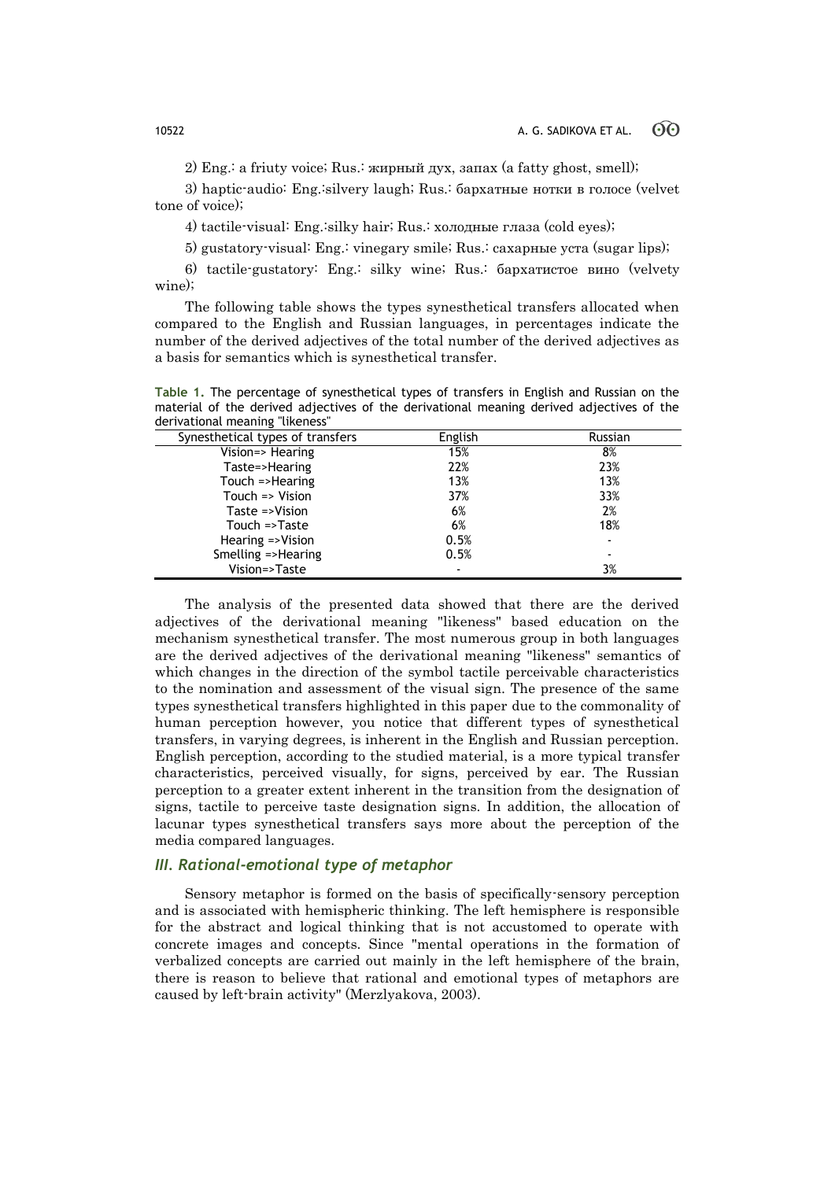2) Eng.: a friuty voice; Rus.: жирный дух, запах (a fatty ghost, smell);

3) haptic-audio: Eng.:silvery laugh; Rus.: бархатные нотки в голосе (velvet tone of voice);

4) tactile-visual: Eng.:silky hair; Rus.: холодные глаза (cold eyes);

5) gustatory-visual: Eng.: vinegary smile; Rus.: сахарные уста (sugar lips);

6) tactile-gustatory: Eng.: silky wine; Rus.: бархатистое вино (velvety wine);

The following table shows the types synesthetical transfers allocated when compared to the English and Russian languages, in percentages indicate the number of the derived adjectives of the total number of the derived adjectives as a basis for semantics which is synesthetical transfer.

**Table 1.** The percentage of synesthetical types of transfers in English and Russian on the material of the derived adjectives of the derivational meaning derived adjectives of the derivational meaning "likeness"

| English | Russian                  |
|---------|--------------------------|
| 15%     | 8%                       |
| 22%     | 23%                      |
| 13%     | 13%                      |
| 37%     | 33%                      |
| 6%      | 2%                       |
| 6%      | 18%                      |
| 0.5%    | $\overline{\phantom{a}}$ |
| 0.5%    | $\overline{\phantom{a}}$ |
|         | 3%                       |
|         |                          |

The analysis of the presented data showed that there are the derived adjectives of the derivational meaning "likeness" based education on the mechanism synesthetical transfer. The most numerous group in both languages are the derived adjectives of the derivational meaning "likeness" semantics of which changes in the direction of the symbol tactile perceivable characteristics to the nomination and assessment of the visual sign. The presence of the same types synesthetical transfers highlighted in this paper due to the commonality of human perception however, you notice that different types of synesthetical transfers, in varying degrees, is inherent in the English and Russian perception. English perception, according to the studied material, is a more typical transfer characteristics, perceived visually, for signs, perceived by ear. The Russian perception to a greater extent inherent in the transition from the designation of signs, tactile to perceive taste designation signs. In addition, the allocation of lacunar types synesthetical transfers says more about the perception of the media compared languages.

## *III. Rational-emotional type of metaphor*

Sensory metaphor is formed on the basis of specifically-sensory perception and is associated with hemispheric thinking. The left hemisphere is responsible for the abstract and logical thinking that is not accustomed to operate with concrete images and concepts. Since "mental operations in the formation of verbalized concepts are carried out mainly in the left hemisphere of the brain, there is reason to believe that rational and emotional types of metaphors are caused by left-brain activity" (Merzlyakova, 2003).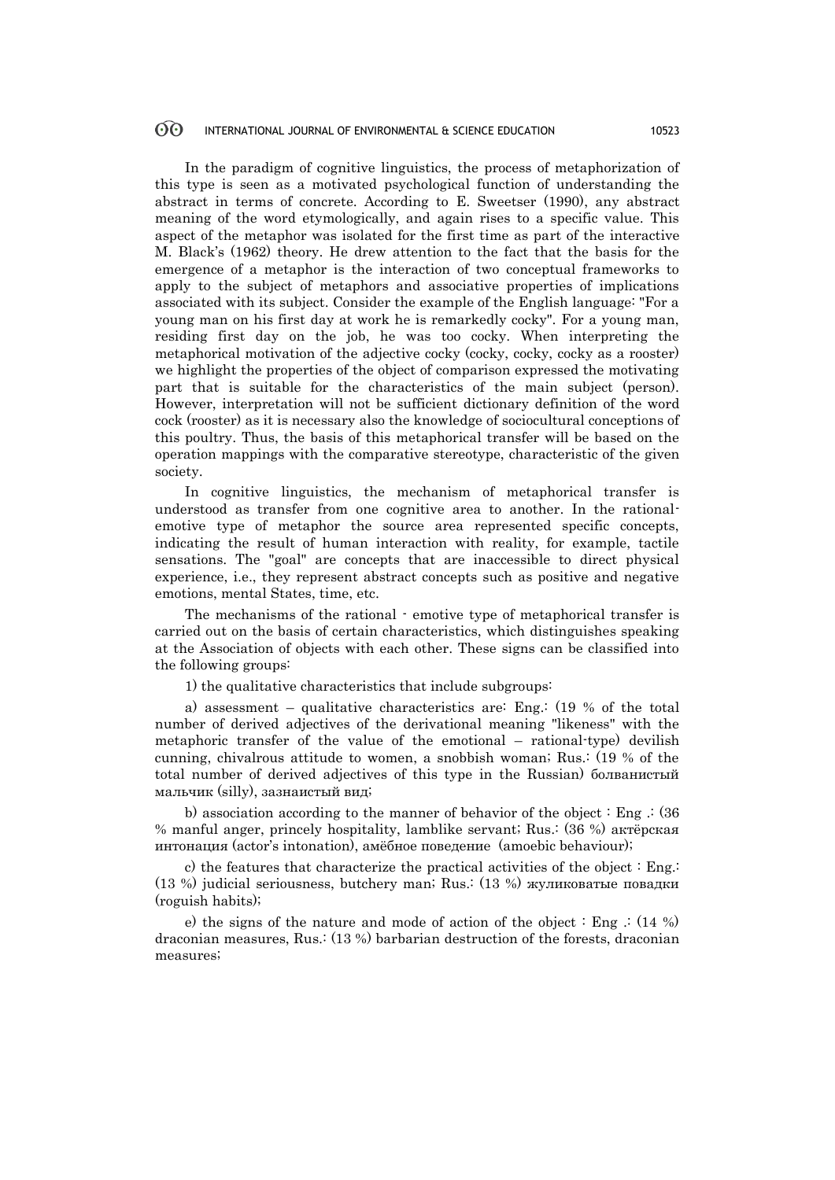#### 60 INTERNATIONAL JOURNAL OF ENVIRONMENTAL & SCIENCE EDUCATION 10523

In the paradigm of cognitive linguistics, the process of metaphorization of this type is seen as a motivated psychological function of understanding the abstract in terms of concrete. According to E. Sweetser (1990), any abstract meaning of the word etymologically, and again rises to a specific value. This aspect of the metaphor was isolated for the first time as part of the interactive M. Black"s (1962) theory. He drew attention to the fact that the basis for the emergence of a metaphor is the interaction of two conceptual frameworks to apply to the subject of metaphors and associative properties of implications associated with its subject. Consider the example of the English language: "For a young man on his first day at work he is remarkedly cocky". For a young man, residing first day on the job, he was too cocky. When interpreting the metaphorical motivation of the adjective cocky (cocky, cocky, cocky as a rooster) we highlight the properties of the object of comparison expressed the motivating part that is suitable for the characteristics of the main subject (person). However, interpretation will not be sufficient dictionary definition of the word cock (rooster) as it is necessary also the knowledge of sociocultural conceptions of this poultry. Thus, the basis of this metaphorical transfer will be based on the operation mappings with the comparative stereotype, characteristic of the given society.

In cognitive linguistics, the mechanism of metaphorical transfer is understood as transfer from one cognitive area to another. In the rationalemotive type of metaphor the source area represented specific concepts, indicating the result of human interaction with reality, for example, tactile sensations. The "goal" are concepts that are inaccessible to direct physical experience, i.e., they represent abstract concepts such as positive and negative emotions, mental States, time, etc.

The mechanisms of the rational - emotive type of metaphorical transfer is carried out on the basis of certain characteristics, which distinguishes speaking at the Association of objects with each other. These signs can be classified into the following groups:

1) the qualitative characteristics that include subgroups:

a) assessment – qualitative characteristics are: Eng.:  $(19 %$  of the total number of derived adjectives of the derivational meaning "likeness" with the metaphoric transfer of the value of the emotional – rational-type) devilish cunning, chivalrous attitude to women, a snobbish woman; Rus.: (19 % of the total number of derived adjectives of this type in the Russian) болванистый мальчик (silly), зазнаистый вид;

b) association according to the manner of behavior of the object  $\colon$  Eng  $\colon$  (36 % manful anger, princely hospitality, lamblike servant; Rus.: (36 %) актёрская интонация (actor"s intonation), амёбное поведение (amoebic behaviour);

c) the features that characterize the practical activities of the object : Eng.: (13 %) judicial seriousness, butchery man; Rus.: (13 %) жуликоватые повадки (roguish habits);

e) the signs of the nature and mode of action of the object  $:$  Eng  $:(14\%)$ draconian measures, Rus.: (13 %) barbarian destruction of the forests, draconian measures;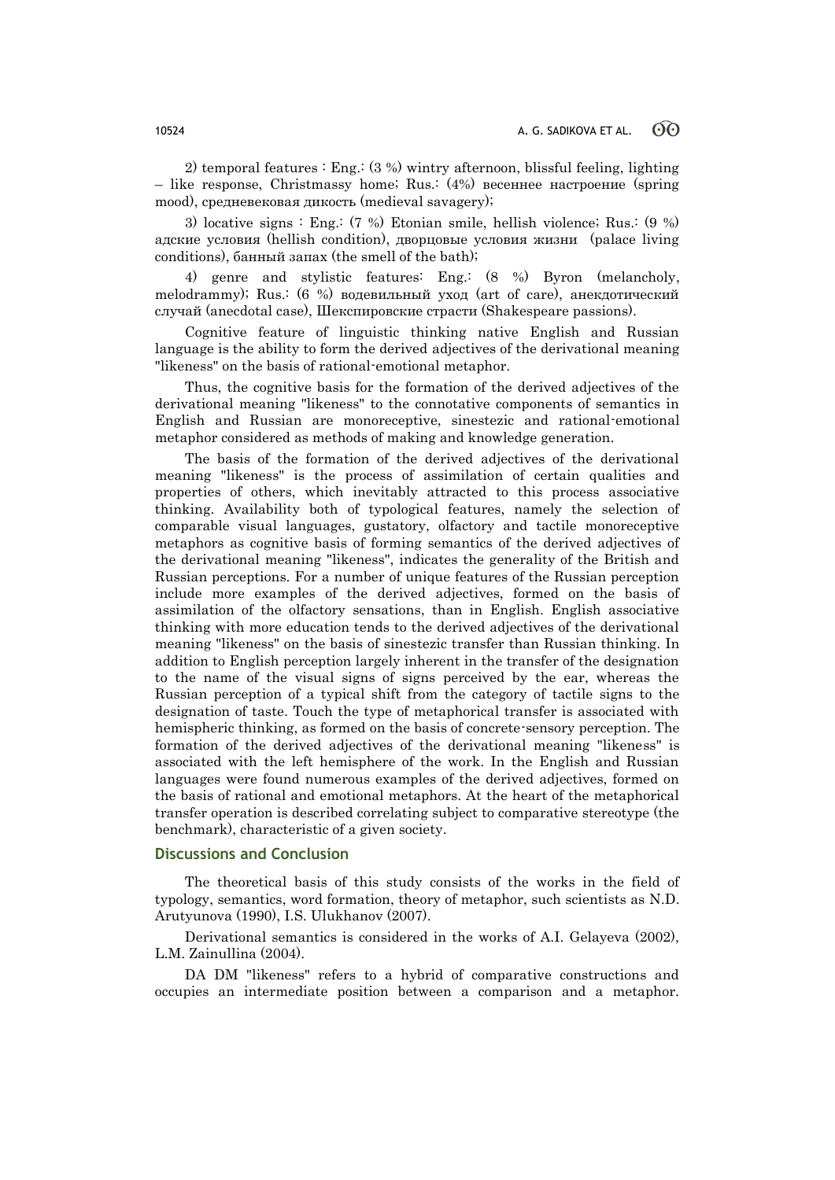2) temporal features : Eng.: (3 %) wintry afternoon, blissful feeling, lighting – like response, Christmassy home; Rus.: (4%) весеннее настроение (spring mood), средневековая дикость (medieval savagery);

3) locative signs : Eng.: (7 %) Etonian smile, hellish violence; Rus.: (9 %) адские условия (hellish condition), дворцовые условия жизни (palace living conditions), банный запах (the smell of the bath);

4) genre and stylistic features: Eng.: (8 %) Byron (melancholy, melodrammy); Rus.: (6 %) водевильный уход (art of care), анекдотический случай (anecdotal case), Шекспировские страсти (Shakespeare passions).

Cognitive feature of linguistic thinking native English and Russian language is the ability to form the derived adjectives of the derivational meaning "likeness" on the basis of rational-emotional metaphor.

Thus, the cognitive basis for the formation of the derived adjectives of the derivational meaning "likeness" to the connotative components of semantics in English and Russian are monoreceptive, sinestezic and rational-emotional metaphor considered as methods of making and knowledge generation.

The basis of the formation of the derived adjectives of the derivational meaning "likeness" is the process of assimilation of certain qualities and properties of others, which inevitably attracted to this process associative thinking. Availability both of typological features, namely the selection of comparable visual languages, gustatory, olfactory and tactile monoreceptive metaphors as cognitive basis of forming semantics of the derived adjectives of the derivational meaning "likeness", indicates the generality of the British and Russian perceptions. For a number of unique features of the Russian perception include more examples of the derived adjectives, formed on the basis of assimilation of the olfactory sensations, than in English. English associative thinking with more education tends to the derived adjectives of the derivational meaning "likeness" on the basis of sinestezic transfer than Russian thinking. In addition to English perception largely inherent in the transfer of the designation to the name of the visual signs of signs perceived by the ear, whereas the Russian perception of a typical shift from the category of tactile signs to the designation of taste. Touch the type of metaphorical transfer is associated with hemispheric thinking, as formed on the basis of concrete-sensory perception. The formation of the derived adjectives of the derivational meaning "likeness" is associated with the left hemisphere of the work. In the English and Russian languages were found numerous examples of the derived adjectives, formed on the basis of rational and emotional metaphors. At the heart of the metaphorical transfer operation is described correlating subject to comparative stereotype (the benchmark), characteristic of a given society.

### **Discussions and Conclusion**

The theoretical basis of this study consists of the works in the field of typology, semantics, word formation, theory of metaphor, such scientists as N.D. Arutyunova (1990), I.S. Ulukhanov (2007).

Derivational semantics is considered in the works of A.I. Gelayeva (2002), L.M. Zainullina (2004).

DA DM "likeness" refers to a hybrid of comparative constructions and occupies an intermediate position between a comparison and a metaphor.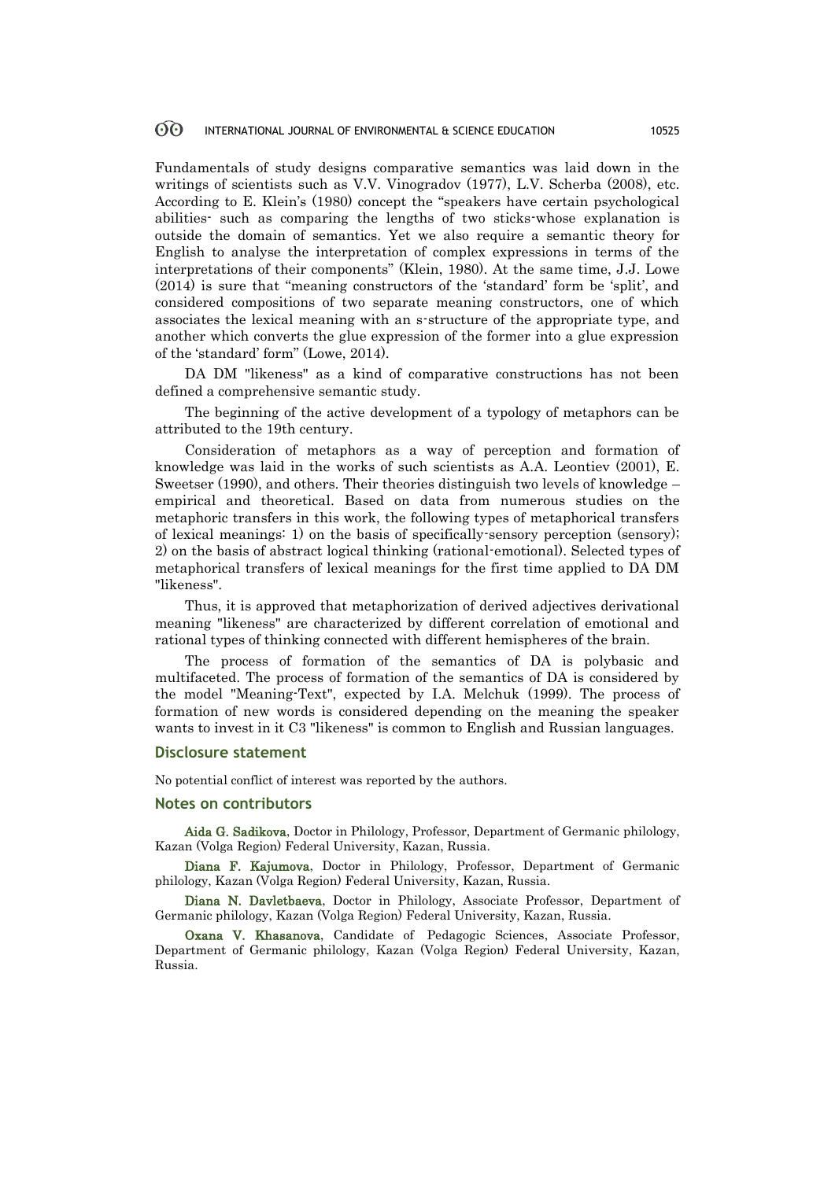#### 60 INTERNATIONAL JOURNAL OF ENVIRONMENTAL & SCIENCE EDUCATION 10525

Fundamentals of study designs comparative semantics was laid down in the writings of scientists such as V.V. Vinogradov (1977), L.V. Scherba (2008), etc. According to E. Klein"s (1980) concept the "speakers have certain psychological abilities- such as comparing the lengths of two sticks-whose explanation is outside the domain of semantics. Yet we also require a semantic theory for English to analyse the interpretation of complex expressions in terms of the interpretations of their components" (Klein, 1980). At the same time, J.J. Lowe  $(2014)$  is sure that "meaning constructors of the 'standard' form be 'split', and considered compositions of two separate meaning constructors, one of which associates the lexical meaning with an s-structure of the appropriate type, and another which converts the glue expression of the former into a glue expression of the "standard" form" (Lowe, 2014).

DA DM "likeness" as a kind of comparative constructions has not been defined a comprehensive semantic study.

The beginning of the active development of a typology of metaphors can be attributed to the 19th century.

Consideration of metaphors as a way of perception and formation of knowledge was laid in the works of such scientists as A.A. Leontiev (2001), E. Sweetser (1990), and others. Their theories distinguish two levels of knowledge – empirical and theoretical. Based on data from numerous studies on the metaphoric transfers in this work, the following types of metaphorical transfers of lexical meanings: 1) on the basis of specifically-sensory perception (sensory); 2) on the basis of abstract logical thinking (rational-emotional). Selected types of metaphorical transfers of lexical meanings for the first time applied to DA DM "likeness".

Thus, it is approved that metaphorization of derived adjectives derivational meaning "likeness" are characterized by different correlation of emotional and rational types of thinking connected with different hemispheres of the brain.

The process of formation of the semantics of DA is polybasic and multifaceted. The process of formation of the semantics of DA is considered by the model "Meaning-Text", expected by I.A. Melchuk (1999). The process of formation of new words is considered depending on the meaning the speaker wants to invest in it C3 "likeness" is common to English and Russian languages.

#### **Disclosure statement**

No potential conflict of interest was reported by the authors.

#### **Notes on contributors**

Aida G. Sadikova, Doctor in Philology, Professor, Department of Germanic philology, Kazan (Volga Region) Federal University, Kazan, Russia.

Diana F. Kajumova, Doctor in Philology, Professor, Department of Germanic philology, Kazan (Volga Region) Federal University, Kazan, Russia.

Diana N. Davletbaeva, Doctor in Philology, Associate Professor, Department of Germanic philology, Kazan (Volga Region) Federal University, Kazan, Russia.

Oxana V. Khasanova, [Candidate of Pedagogic](http://study-english.info/translation-candidates.php) Sciences, Associate Professor, Department of Germanic philology, Kazan (Volga Region) Federal University, Kazan, Russia.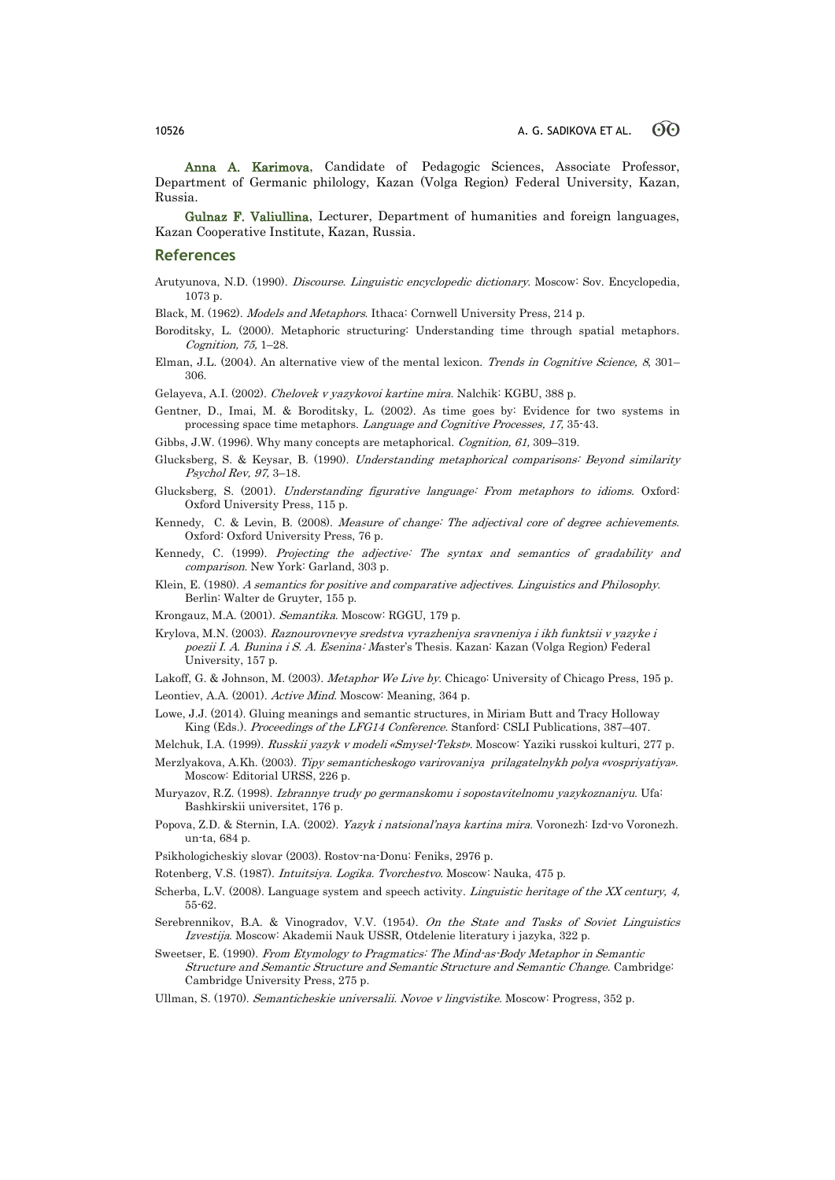Anna A. Karimova, [Candidate of Pedagogic](http://study-english.info/translation-candidates.php) Sciences, Associate Professor, Department of Germanic philology, Kazan (Volga Region) Federal University, Kazan, Russia.

Gulnaz F. Valiullina, [Lecturer,](http://study-english.info/translation-candidates.php) Department of humanities and foreign languages, Kazan Cooperative Institute, Kazan, Russia.

#### **References**

- Arutyunova, N.D. (1990). Discourse. Linguistic encyclopedic dictionary. Moscow: Sov. Encyclopedia, 1073 p.
- Black, M. (1962). Models and Metaphors. Ithaca: Cornwell University Press, 214 p.
- Boroditsky, L. (2000). Metaphoric structuring: Understanding time through spatial metaphors. Cognition, 75, 1–28.
- Elman, J.L. (2004). An alternative view of the mental lexicon. Trends in Cognitive Science, 8, 301-306.

Gelayeva, A.I. (2002). Chelovek v yazykovoi kartine mira. Nalchik: KGBU, 388 p.

- Gentner, D., Imai, M. & Boroditsky, L. (2002). As time goes by: Evidence for two systems in processing space time metaphors. Language and Cognitive Processes, 17, 35-43.
- Gibbs, J.W. (1996). Why many concepts are metaphorical. Cognition, 61, 309–319.
- Glucksberg, S. & Keysar, B. (1990). Understanding metaphorical comparisons: Beyond similarity Psychol Rev, 97, 3–18.
- Glucksberg, S. (2001). Understanding figurative language: From metaphors to idioms. Oxford: Oxford University Press, 115 p.
- Kennedy, C. & Levin, B. (2008). Measure of change: The adjectival core of degree achievements. Oxford: Oxford University Press, 76 p.
- Kennedy, C. (1999). Projecting the adjective: The syntax and semantics of gradability and comparison. New York: Garland, 303 p.
- Klein, E. (1980). A semantics for positive and comparative adjectives. Linguistics and Philosophy. Berlin: Walter de Gruyter, 155 p.
- Krongauz, M.A. (2001). Semantika. Мoscow: RGGU, 179 p.
- Krylova, M.N. (2003). Raznourovnevye sredstva vyrazheniya sravneniya i ikh funktsii v yazyke i poezii I. A. Bunina i S. A. Esenina: Master"s Thesis. Kazan: Kazan (Volga Region) Federal University, 157 p.
- Lakoff, G. & Johnson, M. (2003). Metaphor We Live by. Chicago: University of Chicago Press, 195 p.
- Leontiev, A.A. (2001). Active Mind. Moscow: Meaning, 364 p.
- Lowe, J.J. (2014). Gluing meanings and semantic structures, in Miriam Butt and Tracy Holloway King (Eds.). Proceedings of the LFG14 Conference. Stanford: CSLI Publications, 387–407.
- Melchuk, I.A. (1999). Russkii yazyk v modeli «Smysel-Tekst». Мoscow: Yaziki russkoi kulturi, 277 p.
- Merzlyakova, А.Kh. (2003). Tipy semanticheskogo varirovaniya prilagatelnykh polya «vospriyatiya». Мoscow: Editorial URSS, 226 p.
- Muryazov, R.Z. (1998). Izbrannye trudy po germanskomu i sopostavitelnomu yazykoznaniyu. Ufa: Bashkirskii universitet, 176 p.
- Popova, Z.D. & Sternin, I.А. (2002). Yazyk i natsional"naya kartina mira. Voronezh: Izd-vo Voronezh. un-ta, 684 p.
- Psikhologicheskiy slovar (2003). Rostov-na-Donu: Feniks, 2976 p.
- Rotenberg, V.S. (1987). Intuitsiya. Logika. Tvorchestvo. Мoscow: Nauka, 475 p.
- Scherba, L.V. (2008). Language system and speech activity. Linguistic heritage of the XX century, 4, 55-62.
- Serebrennikov, B.A. & Vinogradov, V.V. (1954). On the State and Tasks of Soviet Linguistics Izvestija. Moscow: Akademii Nauk USSR, Otdelenie literatury i jazyka, 322 p.
- Sweetser, E. (1990). From Etymology to Pragmatics: The Mind-as-Body Metaphor in Semantic Structure and Semantic Structure and Semantic Structure and Semantic Change. Cambridge: Cambridge University Press, 275 p.
- Ullman, S. (1970). Semanticheskie universalii. Novoe v lingvistike. Мoscow: Progress, 352 p.